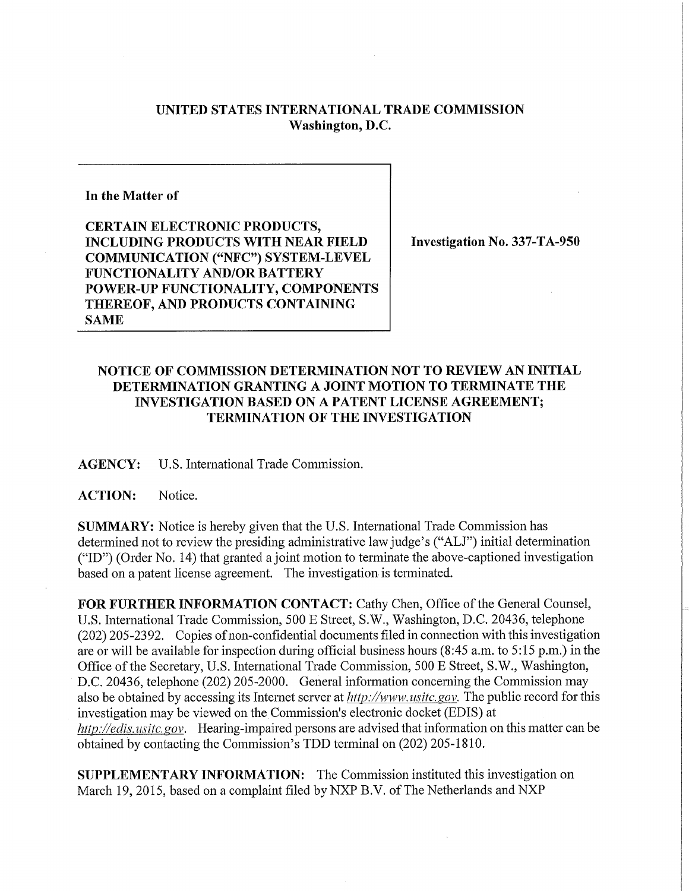## **UNITED STATES INTERNATIONAL TRADE COMMISSION Washington, D.C.**

## **In the Matter of**

**CERTAIN ELECTRONIC PRODUCTS, INCLUDING PRODUCTS WITH NEAR FIELD COMMUNICATION ("NFC") SYSTEM-LEVEL FUNCTIONALITY AND/OR BATTER Y POWER-UP FUNCTIONALITY, COMPONENTS THEREOF, AND PRODUCTS CONTAINING SAME** 

**Investigation No. 337-TA-950** 

## **NOTICE OF COMMISSION DETERMINATION NOT TO REVIEW AN INITIAL DETERMINATION GRANTING A JOINT MOTION TO TERMINATE THE INVESTIGATION BASED ON A PATENT LICENSE AGREEMENT; TERMINATION OF THE INVESTIGATION**

**AGENCY:** U.S. Intemational Trade Commission.

## **ACTION:** Notice.

**SUMMARY:** Notice is hereby given that the U.S. International Trade Commission has determined not to review the presiding administrative law judge's ("ALJ") initial determination ("ID") (Order No. 14) that granted a joint motion to terminate the above-captioned investigation based on a patent license agreement. The investigation is terminated.

FOR FURTHER INFORMATION CONTACT: Cathy Chen, Office of the General Counsel, U.S. International Trade Commission, 500 E Street, S.W., Washington, D.C. 20436, telephone (202) 205-2392. Copies of non-confidential documents filed in connection with this investigation are or will be available for inspection during official business hours (8:45 a.m. to 5:15 p.m.) in the Office of the Secretary, U.S. International Trade Commission, 500 E Street, S.W., Washington, D.C. 20436, telephone (202) 205-2000. General information concerning the Commission may also be obtained by accessing its Internet server at *http://www, usitc.gov.* The public record for this investigation may be viewed on the Commission's electronic docket (EDIS) at *http.V/ectis. usitc. gov.* Hearing-impaired persons are advised that information on this matter can be obtained by contacting the Commission's TDD terminal on (202) 205-1810.

**SUPPLEMENTARY INFORMATION:** The Commission instituted this investigation on March 19, 2015, based on a complaint filed by NXP B.V. of The Netherlands and NXP